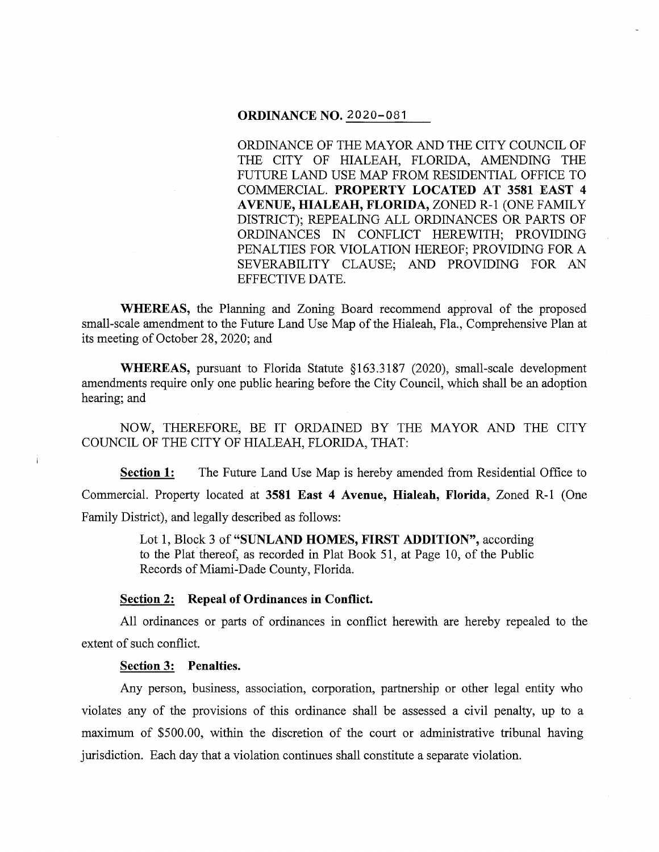## **ORDINANCE NO.** 2020-081

ORDINANCE OF THE MAYOR AND THE CITY COUNCIL OF THE CITY OF HIALEAH, FLORIDA, AMENDING THE FUTURE LAND USE MAP FROM RESIDENTIAL OFFICE TO COMMERCIAL. **PROPERTY LOCATED AT 3581 EAST 4 A VENUE, HIALEAH, FLORIDA,** ZONED R-1 (ONE FAMILY DISTRICT); REPEALING ALL ORDINANCES OR PARTS OF ORDINANCES IN CONFLICT HEREWITH; PROVIDING PENALTIES FOR VIOLATION HEREOF; PROVIDING FOR A SEVERABILITY CLAUSE; AND PROVIDING FOR AN EFFECTIVE DATE.

**WHEREAS,** the Planning and Zoning Board recommend approval of the proposed small-scale amendment to the Future Land Use Map of the Hialeah, Fla., Comprehensive Plan at its meeting of October 28, 2020; and

**WHEREAS,** pursuant to Florida Statute §163.3187 (2020), small-scale development amendments require only one public hearing before the City Council, which shall be an adoption hearing; and

NOW, THEREFORE, BE IT ORDAINED BY THE MAYOR AND THE CITY COUNCIL OF THE CITY OF HIALEAH, FLORIDA, THAT:

**Section 1:** The Future Land Use Map is hereby amended from Residential Office to Commercial. Property located at **3581 East 4 Avenue, Hialeah, Florida,** Zoned R-1 (One Family District), and legally described as follows:

> Lot 1, Block 3 of **"SUNLAND HOMES, FIRST ADDITION",** according to the Plat thereof, as recorded in Plat Book 51, at Page 10, of the Public Records of Miami-Dade County, Florida.

## **Section 2: Repeal of Ordinances in Conflict.**

All ordinances or parts of ordinances in conflict herewith are hereby repealed to the extent of such conflict.

#### **Section 3: Penalties.**

Any person, business, association, corporation, partnership or other legal entity who violates any of the provisions of this ordinance shall be assessed a civil penalty, up to a maximum of \$500.00, within the discretion of the court or administrative tribunal having jurisdiction. Each day that a violation continues shall constitute a separate violation.